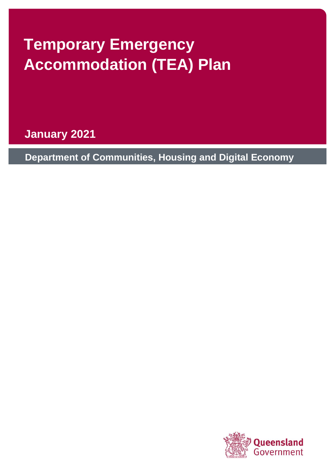# **Temporary Emergency Accommodation (TEA) Plan**

**January 2021**

**Department of Communities, Housing and Digital Economy**

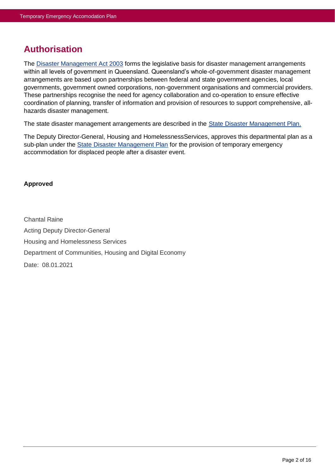# <span id="page-1-0"></span>**Authorisation**

The [Disaster Management Act 2003](https://www.legislation.qld.gov.au/view/pdf/inforce/current/act-2003-091) forms the legislative basis for disaster management arrangements within all levels of government in Queensland. Queensland's whole-of-government disaster management arrangements are based upon partnerships between federal and state government agencies, local governments, government owned corporations, non-government organisations and commercial providers. These partnerships recognise the need for agency collaboration and co-operation to ensure effective coordination of planning, transfer of information and provision of resources to support comprehensive, allhazards disaster management.

The state disaster management arrangements are described in the [State Disaster Management Plan.](file://///dpwservices.dpw.qld.gov.au/dfs/ISD/DISASTER%20COORDINATION/Disaster%20Management/Disaster%20Plans/06%20Temporary%20Emergency%20Accommodation%20Plan/14_Temporary%20Emergency%20Accommodation%20Plan/2018/181029%20Draft%20TEA%20Plan.docx)

The Deputy Director-General, Housing and HomelessnessServices, approves this departmental plan as a sub-plan under the [State Disaster Management Plan](file://///dpwservices.dpw.qld.gov.au/dfs/ISD/DISASTER%20COORDINATION/Disaster%20Management/Disaster%20Plans/06%20Temporary%20Emergency%20Accommodation%20Plan/14_Temporary%20Emergency%20Accommodation%20Plan/2018/181029%20Draft%20TEA%20Plan.docx) for the provision of temporary emergency accommodation for displaced people after a disaster event.

#### **Approved**

Chantal Raine Acting Deputy Director-General Housing and Homelessness Services Department of Communities, Housing and Digital Economy Date: 08.01.2021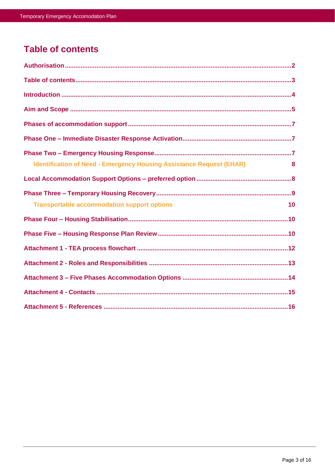# <span id="page-2-0"></span>**Table of contents**

| <b>Identification of Need - Emergency Housing Assistance Request (EHAR)</b><br>8 |
|----------------------------------------------------------------------------------|
|                                                                                  |
|                                                                                  |
| <b>Transportable accommodation support options</b><br>10                         |
|                                                                                  |
|                                                                                  |
|                                                                                  |
|                                                                                  |
|                                                                                  |
|                                                                                  |
|                                                                                  |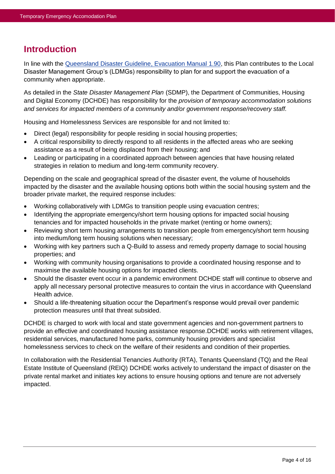# <span id="page-3-0"></span>**Introduction**

In line with the [Queensland Disaster Guideline,](https://www.disaster.qld.gov.au/dmg/st/Documents/M1190-Evacuation-Manual.pdf#search=evacuation) Evacuation Manual 1.90, this Plan contributes to the Local Disaster Management Group's (LDMGs) responsibility to plan for and support the evacuation of a community when appropriate.

As detailed in the *State Disaster Management Plan* (SDMP), the Department of Communities, Housing and Digital Economy (DCHDE) has responsibility for the *provision of temporary accommodation solutions and services for impacted members of a community and/or government response/recovery staff.* 

Housing and Homelessness Services are responsible for and not limited to:

- Direct (legal) responsibility for people residing in social housing properties;
- A critical responsibility to directly respond to all residents in the affected areas who are seeking assistance as a result of being displaced from their housing; and
- Leading or participating in a coordinated approach between agencies that have housing related strategies in relation to medium and long-term community recovery.

Depending on the scale and geographical spread of the disaster event, the volume of households impacted by the disaster and the available housing options both within the social housing system and the broader private market, the required response includes:

- Working collaboratively with LDMGs to transition people using evacuation centres;
- Identifying the appropriate emergency/short term housing options for impacted social housing tenancies and for impacted households in the private market (renting or home owners);
- Reviewing short term housing arrangements to transition people from emergency/short term housing into medium/long term housing solutions when necessary;
- Working with key partners such a Q-Build to assess and remedy property damage to social housing properties; and
- Working with community housing organisations to provide a coordinated housing response and to maximise the available housing options for impacted clients.
- Should the disaster event occur in a pandemic environment DCHDE staff will continue to observe and apply all necessary personal protective measures to contain the virus in accordance with Queensland Health advice.
- Should a life-threatening situation occur the Department's response would prevail over pandemic protection measures until that threat subsided.

DCHDE is charged to work with local and state government agencies and non-government partners to provide an effective and coordinated housing assistance response.DCHDE works with retirement villages, residential services, manufactured home parks, community housing providers and specialist homelessness services to check on the welfare of their residents and condition of their properties.

In collaboration with the Residential Tenancies Authority (RTA), Tenants Queensland (TQ) and the Real Estate Institute of Queensland (REIQ) DCHDE works actively to understand the impact of disaster on the private rental market and initiates key actions to ensure housing options and tenure are not adversely impacted.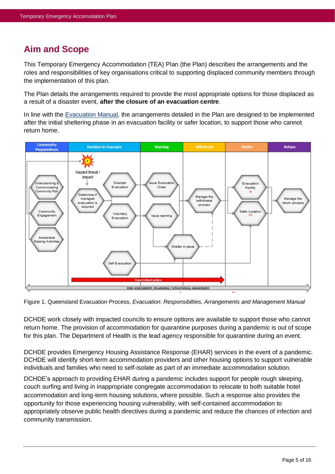# **Aim and Scope**

This Temporary Emergency Accommodation (TEA) Plan (the Plan) describes the arrangements and the roles and responsibilities of key organisations critical to supporting displaced community members through the implementation of this plan.

The Plan details the arrangements required to provide the most appropriate options for those displaced as a result of a disaster event, **after the closure of an evacuation centre**.

In line with the [Evacuation Manual,](https://www.disaster.qld.gov.au/dmg/st/Documents/M1190-Evacuation-Manual.pdf#search=evacuation) the arrangements detailed in the Plan are designed to be implemented after the initial sheltering phase in an evacuation facility or safer location, to support those who cannot return home.



Figure 1. Queensland Evacuation Process, *Evacuation: Responsibilties, Arrangements and Management Manual*

DCHDE work closely with impacted councils to ensure options are available to support those who cannot return home. The provision of accommodation for quarantine purposes during a pandemic is out of scope for this plan. The Department of Health is the lead agency responsible for quarantine during an event.

DCHDE provides Emergency Housing Assistance Response (EHAR) services in the event of a pandemic. DCHDE will identify short-term accommodation providers and other housing options to support vulnerable individuals and families who need to self-isolate as part of an immediate accommodation solution.

DCHDE's approach to providing EHAR during a pandemic includes support for people rough sleeping, couch surfing and living in inappropriate congregate accommodation to relocate to both suitable hotel accommodation and long-term housing solutions, where possible. Such a response also provides the opportunity for those experiencing housing vulnerability, with self-contained accommodation to appropriately observe public health directives during a pandemic and reduce the chances of infection and community transmission.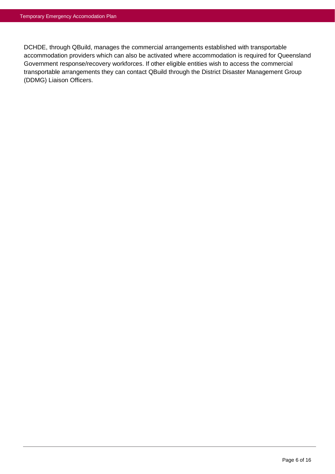DCHDE, through QBuild, manages the commercial arrangements established with transportable accommodation providers which can also be activated where accommodation is required for Queensland Government response/recovery workforces. If other eligible entities wish to access the commercial transportable arrangements they can contact QBuild through the District Disaster Management Group (DDMG) Liaison Officers.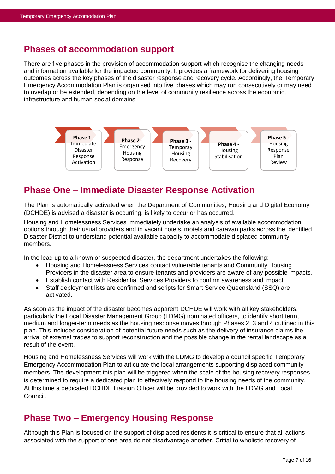### <span id="page-6-0"></span>**Phases of accommodation support**

There are five phases in the provision of accommodation support which recognise the changing needs and information available for the impacted community. It provides a framework for delivering housing outcomes across the key phases of the disaster response and recovery cycle. Accordingly, the Temporary Emergency Accommodation Plan is organised into five phases which may run consecutively or may need to overlap or be extended, depending on the level of community resilience across the economic, infrastructure and human social domains.



# <span id="page-6-1"></span>**Phase One – Immediate Disaster Response Activation**

The Plan is automatically activated when the Department of Communities, Housing and Digital Economy (DCHDE) is advised a disaster is occurring, is likely to occur or has occurred.

Housing and Homelessness Services immediately undertake an analysis of available accommodation options through their usual providers and in vacant hotels, motels and caravan parks across the identified Disaster District to understand potential available capacity to accommodate displaced community members.

In the lead up to a known or suspected disaster, the department undertakes the following:

- Housing and Homelessness Services contact vulnerable tenants and Community Housing Providers in the disaster area to ensure tenants and providers are aware of any possible impacts.
- Establish contact with Residential Services Providers to confirm awareness and impact
- Staff deployment lists are confirmed and scripts for Smart Service Queensland (SSQ) are activated.

As soon as the impact of the disaster becomes apparent DCHDE will work with all key stakeholders, particularly the Local Disaster Management Group (LDMG) nominated officers, to identify short term, medium and longer-term needs as the housing response moves through Phases 2, 3 and 4 outlined in this plan. This includes consideration of potential future needs such as the delivery of insurance claims the arrival of external trades to support reconstruction and the possible change in the rental landscape as a result of the event.

Housing and Homelessness Services will work with the LDMG to develop a council specific Temporary Emergency Accommodation Plan to articulate the local arrangements supporting displaced community members. The development this plan will be triggered when the scale of the housing recovery responses is determined to require a dedicated plan to effectively respond to the housing needs of the community. At this time a dedicated DCHDE Liaision Officer will be provided to work with the LDMG and Local Council.

# <span id="page-6-2"></span>**Phase Two – Emergency Housing Response**

Although this Plan is focused on the support of displaced residents it is critical to ensure that all actions associated with the support of one area do not disadvantage another. Critial to wholistic recovery of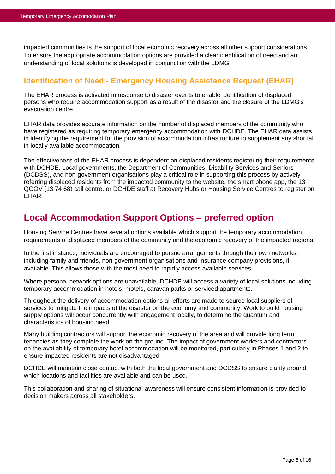impacted communities is the support of local economic recovery across all other support considerations. To ensure the appropriate accommodation options are provided a clear identification of need and an understanding of local solutions is developed in conjunction with the LDMG.

#### <span id="page-7-0"></span>**Identification of Need - Emergency Housing Assistance Request (EHAR)**

The EHAR process is activated in response to disaster events to enable identification of displaced persons who require accommodation support as a result of the disaster and the closure of the LDMG's evacuation centre.

EHAR data provides accurate information on the number of displaced members of the community who have registered as requiring temporary emergency accommodation with DCHDE. The EHAR data assists in identifying the requirement for the provision of accommodation infrastructure to supplement any shortfall in locally available accommodation.

The effectiveness of the EHAR process is dependent on displaced residents registering their requirements with DCHDE. Local governments, the Department of Communities, Disability Services and Seniors (DCDSS), and non-government organisations play a critical role in supporting this process by actively referring displaced residents from the impacted community to the website, the smart phone app, the 13 QGOV (13 74 68) call centre, or DCHDE staff at Recovery Hubs or Housing Service Centres to register on EHAR.

# <span id="page-7-1"></span>**Local Accommodation Support Options – preferred option**

Housing Service Centres have several options available which support the temporary accommodation requirements of displaced members of the community and the economic recovery of the impacted regions.

In the first instance, individuals are encouraged to pursue arrangements through their own networks, including family and friends, non-government organisations and insurance company provisions, if available. This allows those with the most need to rapidly access available services.

Where personal network options are unavailable, DCHDE will access a variety of local solutions including temporary accommodation in hotels, motels, caravan parks or serviced apartments.

Throughout the delivery of accommodation options all efforts are made to source local suppliers of services to mitigate the impacts of the disaster on the economy and community. Work to build housing supply options will occur concurrently with engagement locally, to determine the quantum and characteristics of housing need.

Many building contractors will support the economic recovery of the area and will provide long term tenancies as they complete the work on the ground. The impact of government workers and contractors on the availability of temporary hotel accommodation will be monitored, particularly in Phases 1 and 2 to ensure impacted residents are not disadvantaged.

DCHDE will maintain close contact with both the local government and DCDSS to ensure clarity around which locations and facilities are available and can be used.

This collaboration and sharing of situational awareness will ensure consistent information is provided to decision makers across all stakeholders.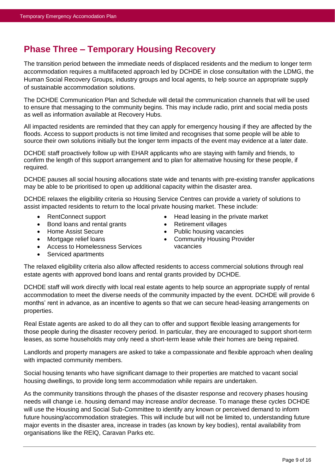# <span id="page-8-0"></span>**Phase Three – Temporary Housing Recovery**

The transition period between the immediate needs of displaced residents and the medium to longer term accommodation requires a multifaceted approach led by DCHDE in close consultation with the LDMG, the Human Social Recovery Groups, industry groups and local agents, to help source an appropriate supply of sustainable accommodation solutions.

The DCHDE Communication Plan and Schedule will detail the communication channels that will be used to ensure that messaging to the community begins. This may include radio, print and social media posts as well as information available at Recovery Hubs.

All impacted residents are reminded that they can apply for emergency housing if they are affected by the floods. Access to support products is not time limited and recognises that some people will be able to source their own solutions initially but the longer term impacts of the event may evidence at a later date.

DCHDE staff proactively follow up with EHAR applicants who are staying with family and friends, to confirm the length of this support arrangement and to plan for alternative housing for these people, if required.

DCHDE pauses all social housing allocations state wide and tenants with pre-existing transfer applications may be able to be prioritised to open up additional capacity within the disaster area.

DCHDE relaxes the eligibility criteria so Housing Service Centres can provide a variety of solutions to assist impacted residents to return to the local private housing market. These include:

- RentConnect support
- Bond loans and rental grants
- Home Assist Secure
- Mortgage relief loans
- Access to Homelessness Services
- Retirement villages • Public housing vacancies
- Community Housing Provider vacancies

• Head leasing in the private market

• Serviced apartments

The relaxed eligibility criteria also allow affected residents to access commercial solutions through real estate agents with approved bond loans and rental grants provided by DCHDE.

DCHDE staff will work directly with local real estate agents to help source an appropriate supply of rental accommodation to meet the diverse needs of the community impacted by the event. DCHDE will provide 6 months' rent in advance, as an incentive to agents so that we can secure head-leasing arrangements on properties.

Real Estate agents are asked to do all they can to offer and support flexible leasing arrangements for those people during the disaster recovery period. In particular, they are encouraged to support short-term leases, as some households may only need a short-term lease while their homes are being repaired.

Landlords and property managers are asked to take a compassionate and flexible approach when dealing with impacted community members.

Social housing tenants who have significant damage to their properties are matched to vacant social housing dwellings, to provide long term accommodation while repairs are undertaken.

As the community transitions through the phases of the disaster response and recovery phases housing needs will change i.e. housing demand may increase and/or decrease. To manage these cycles DCHDE will use the Housing and Social Sub-Committee to identify any known or perceived demand to inform future housing/accommodation strategies. This will include but will not be limited to, understanding future major events in the disaster area, increase in trades (as known by key bodies), rental availability from organisations like the REIQ, Caravan Parks etc.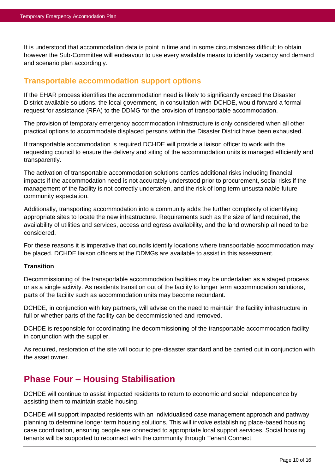It is understood that accommodation data is point in time and in some circumstances difficult to obtain however the Sub-Committee will endeavour to use every available means to identify vacancy and demand and scenario plan accordingly.

#### <span id="page-9-0"></span>**Transportable accommodation support options**

If the EHAR process identifies the accommodation need is likely to significantly exceed the Disaster District available solutions, the local government, in consultation with DCHDE, would forward a formal request for assistance (RFA) to the DDMG for the provision of transportable accommodation.

The provision of temporary emergency accommodation infrastructure is only considered when all other practical options to accommodate displaced persons within the Disaster District have been exhausted.

If transportable accommodation is required DCHDE will provide a liaison officer to work with the requesting council to ensure the delivery and siting of the accommodation units is managed efficiently and transparently.

The activation of transportable accommodation solutions carries additional risks including financial impacts if the accommodation need is not accurately understood prior to procurement, social risks if the management of the facility is not correctly undertaken, and the risk of long term unsustainable future community expectation.

Additionally, transporting accommodation into a community adds the further complexity of identifying appropriate sites to locate the new infrastructure. Requirements such as the size of land required, the availability of utilities and services, access and egress availability, and the land ownership all need to be considered.

For these reasons it is imperative that councils identify locations where transportable accommodation may be placed. DCHDE liaison officers at the DDMGs are available to assist in this assessment.

#### **Transition**

Decommissioning of the transportable accommodation facilities may be undertaken as a staged process or as a single activity. As residents transition out of the facility to longer term accommodation solutions, parts of the facility such as accommodation units may become redundant.

DCHDE, in conjunction with key partners, will advise on the need to maintain the facility infrastructure in full or whether parts of the facility can be decommissioned and removed.

DCHDE is responsible for coordinating the decommissioning of the transportable accommodation facility in conjunction with the supplier.

As required, restoration of the site will occur to pre-disaster standard and be carried out in conjunction with the asset owner.

# <span id="page-9-1"></span>**Phase Four – Housing Stabilisation**

DCHDE will continue to assist impacted residents to return to economic and social independence by assisting them to maintain stable housing.

DCHDE will support impacted residents with an individualised case management approach and pathway planning to determine longer term housing solutions. This will involve establishing place-based housing case coordination, ensuring people are connected to appropriate local support services. Social housing tenants will be supported to reconnect with the community through Tenant Connect.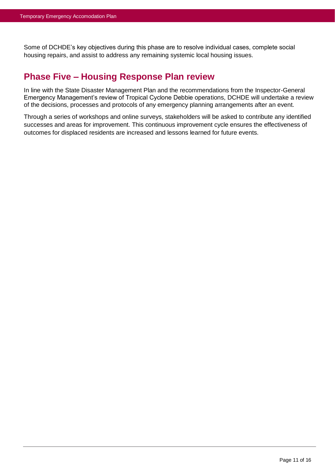Some of DCHDE's key objectives during this phase are to resolve individual cases, complete social housing repairs, and assist to address any remaining systemic local housing issues.

### **Phase Five – Housing Response Plan review**

In line with the State Disaster Management Plan and the recommendations from the Inspector-General Emergency Management's review of Tropical Cyclone Debbie operations, DCHDE will undertake a review of the decisions, processes and protocols of any emergency planning arrangements after an event.

Through a series of workshops and online surveys, stakeholders will be asked to contribute any identified successes and areas for improvement. This continuous improvement cycle ensures the effectiveness of outcomes for displaced residents are increased and lessons learned for future events.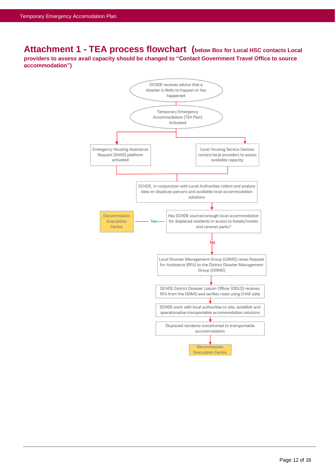<span id="page-11-0"></span>**Attachment 1 - TEA process flowchart (below Box for Local HSC contacts Local providers to assess avail capacity should be changed to "Contact Government Travel Office to source accommodation")**

<span id="page-11-1"></span>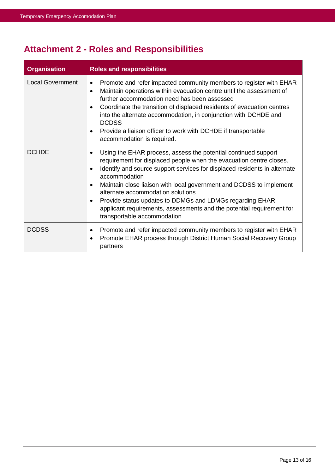# **Attachment 2 - Roles and Responsibilities**

| <b>Organisation</b>     | <b>Roles and responsibilities</b>                                                                                                                                                                                                                                                                                                                                                                                                                                                                                                                               |  |
|-------------------------|-----------------------------------------------------------------------------------------------------------------------------------------------------------------------------------------------------------------------------------------------------------------------------------------------------------------------------------------------------------------------------------------------------------------------------------------------------------------------------------------------------------------------------------------------------------------|--|
| <b>Local Government</b> | Promote and refer impacted community members to register with EHAR<br>$\bullet$<br>Maintain operations within evacuation centre until the assessment of<br>$\bullet$<br>further accommodation need has been assessed<br>Coordinate the transition of displaced residents of evacuation centres<br>$\bullet$<br>into the alternate accommodation, in conjunction with DCHDE and<br><b>DCDSS</b><br>Provide a liaison officer to work with DCHDE if transportable<br>$\bullet$<br>accommodation is required.                                                      |  |
| <b>DCHDE</b>            | Using the EHAR process, assess the potential continued support<br>٠<br>requirement for displaced people when the evacuation centre closes.<br>Identify and source support services for displaced residents in alternate<br>$\bullet$<br>accommodation<br>Maintain close liaison with local government and DCDSS to implement<br>$\bullet$<br>alternate accommodation solutions<br>Provide status updates to DDMGs and LDMGs regarding EHAR<br>$\bullet$<br>applicant requirements, assessments and the potential requirement for<br>transportable accommodation |  |
| <b>DCDSS</b>            | Promote and refer impacted community members to register with EHAR<br>٠<br>Promote EHAR process through District Human Social Recovery Group<br>$\bullet$<br>partners                                                                                                                                                                                                                                                                                                                                                                                           |  |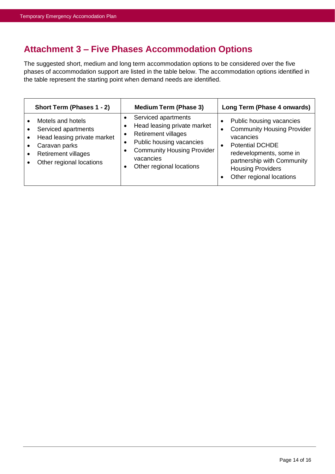# <span id="page-13-0"></span>**Attachment 3 – Five Phases Accommodation Options**

The suggested short, medium and long term accommodation options to be considered over the five phases of accommodation support are listed in the table below. The accommodation options identified in the table represent the starting point when demand needs are identified.

| Short Term (Phases 1 - 2)                                                                                                                          | <b>Medium Term (Phase 3)</b>                                                                                                                                                                            | Long Term (Phase 4 onwards)                                                                                                                                                                                                        |
|----------------------------------------------------------------------------------------------------------------------------------------------------|---------------------------------------------------------------------------------------------------------------------------------------------------------------------------------------------------------|------------------------------------------------------------------------------------------------------------------------------------------------------------------------------------------------------------------------------------|
| Motels and hotels<br>Serviced apartments<br>Head leasing private market<br>Caravan parks<br><b>Retirement villages</b><br>Other regional locations | Serviced apartments<br>Head leasing private market<br><b>Retirement villages</b><br>Public housing vacancies<br><b>Community Housing Provider</b><br>$\bullet$<br>vacancies<br>Other regional locations | Public housing vacancies<br><b>Community Housing Provider</b><br>vacancies<br><b>Potential DCHDE</b><br>$\bullet$<br>redevelopments, some in<br>partnership with Community<br><b>Housing Providers</b><br>Other regional locations |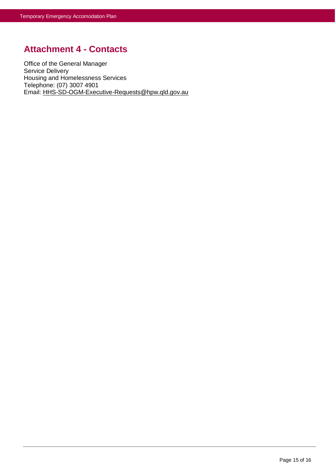# <span id="page-14-0"></span>**Attachment 4 - Contacts**

Office of the General Manager Service Delivery Housing and Homelessness Services Telephone: (07) 3007 4901 Email: [HHS-SD-OGM-Executive-Requests@hpw.qld.gov.au](mailto:HHS-SD-OGM-Executive-Requests@hpw.qld.gov.au)